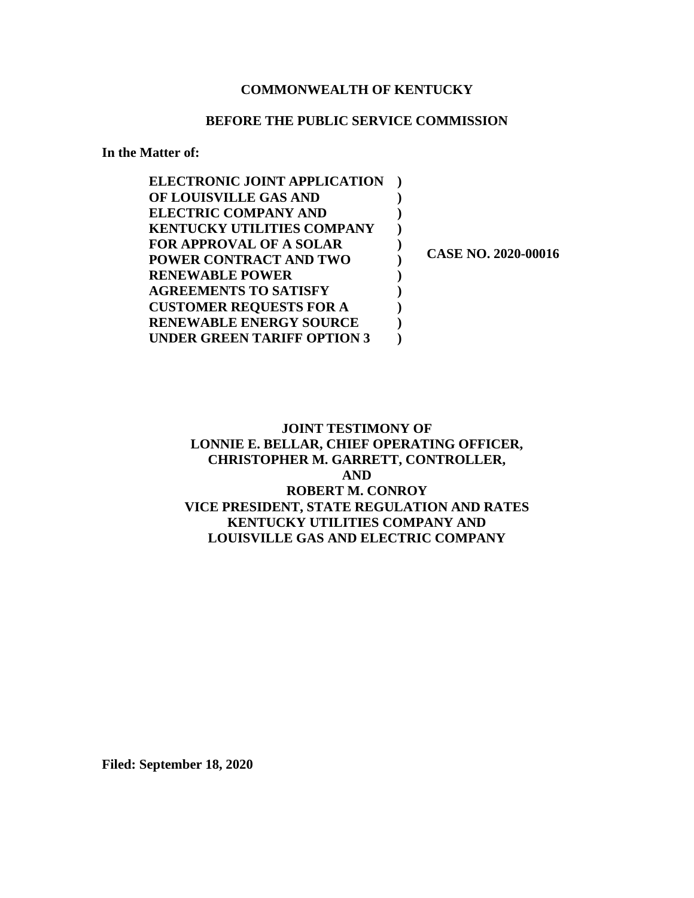## **COMMONWEALTH OF KENTUCKY**

## **BEFORE THE PUBLIC SERVICE COMMISSION**

**In the Matter of:** 

| <b>ELECTRONIC JOINT APPLICATION</b> |                     |
|-------------------------------------|---------------------|
| OF LOUISVILLE GAS AND               |                     |
| <b>ELECTRIC COMPANY AND</b>         |                     |
| <b>KENTUCKY UTILITIES COMPANY</b>   |                     |
| <b>FOR APPROVAL OF A SOLAR</b>      |                     |
| <b>POWER CONTRACT AND TWO</b>       | CASE NO. 2020-00016 |
| <b>RENEWABLE POWER</b>              |                     |
| <b>AGREEMENTS TO SATISFY</b>        |                     |
| <b>CUSTOMER REQUESTS FOR A</b>      |                     |
| <b>RENEWABLE ENERGY SOURCE</b>      |                     |
| UNDER GREEN TARIFF OPTION 3         |                     |

# **JOINT TESTIMONY OF LONNIE E. BELLAR, CHIEF OPERATING OFFICER, CHRISTOPHER M. GARRETT, CONTROLLER, AND ROBERT M. CONROY VICE PRESIDENT, STATE REGULATION AND RATES KENTUCKY UTILITIES COMPANY AND LOUISVILLE GAS AND ELECTRIC COMPANY**

**Filed: September 18, 2020**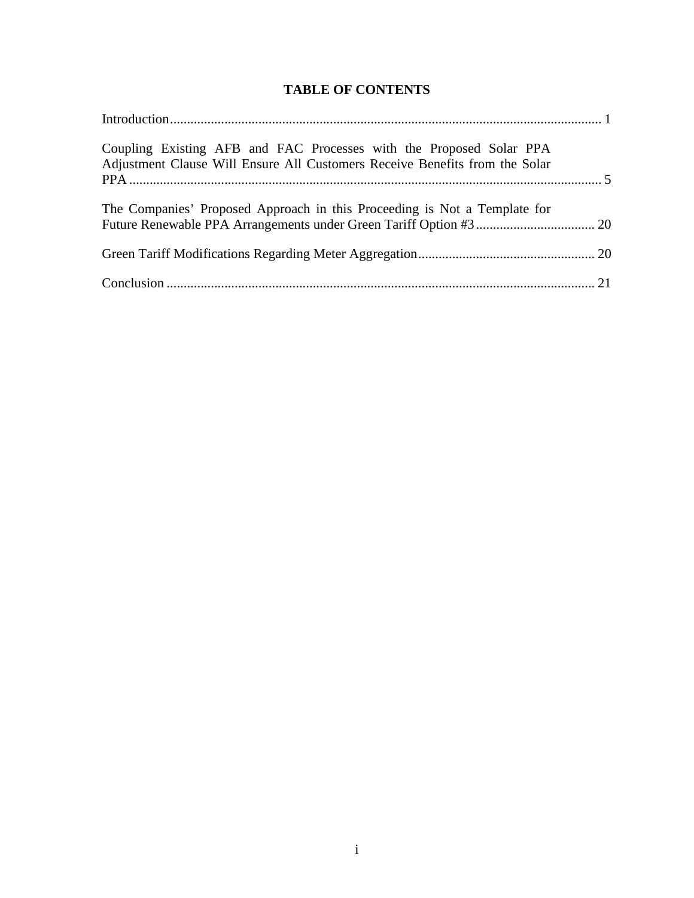# **TABLE OF CONTENTS**

| Coupling Existing AFB and FAC Processes with the Proposed Solar PPA<br>Adjustment Clause Will Ensure All Customers Receive Benefits from the Solar |  |
|----------------------------------------------------------------------------------------------------------------------------------------------------|--|
| The Companies' Proposed Approach in this Proceeding is Not a Template for                                                                          |  |
|                                                                                                                                                    |  |
|                                                                                                                                                    |  |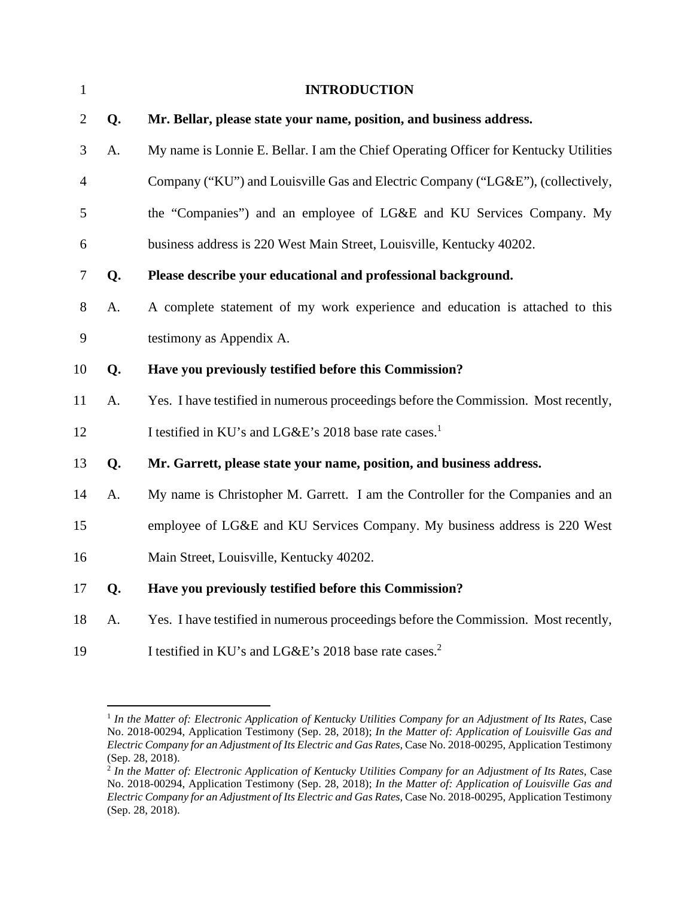| $\mathbf{1}$   |    | <b>INTRODUCTION</b>                                                                  |
|----------------|----|--------------------------------------------------------------------------------------|
| $\overline{2}$ | Q. | Mr. Bellar, please state your name, position, and business address.                  |
| 3              | A. | My name is Lonnie E. Bellar. I am the Chief Operating Officer for Kentucky Utilities |
| $\overline{4}$ |    | Company ("KU") and Louisville Gas and Electric Company ("LG&E"), (collectively,      |
| 5              |    | the "Companies") and an employee of LG&E and KU Services Company. My                 |
| 6              |    | business address is 220 West Main Street, Louisville, Kentucky 40202.                |
| 7              | Q. | Please describe your educational and professional background.                        |
| 8              | A. | A complete statement of my work experience and education is attached to this         |
| 9              |    | testimony as Appendix A.                                                             |
| 10             | Q. | Have you previously testified before this Commission?                                |
| 11             | A. | Yes. I have testified in numerous proceedings before the Commission. Most recently,  |
| 12             |    | I testified in KU's and LG&E's 2018 base rate cases. <sup>1</sup>                    |
| 13             | Q. | Mr. Garrett, please state your name, position, and business address.                 |
| 14             | A. | My name is Christopher M. Garrett. I am the Controller for the Companies and an      |
| 15             |    | employee of LG&E and KU Services Company. My business address is 220 West            |
| 16             |    | Main Street, Louisville, Kentucky 40202.                                             |
| 17             | Q. | Have you previously testified before this Commission?                                |
| 18             | A. | Yes. I have testified in numerous proceedings before the Commission. Most recently,  |
| 19             |    | I testified in KU's and LG&E's 2018 base rate cases. <sup>2</sup>                    |

<sup>&</sup>lt;sup>1</sup> In the Matter of: Electronic Application of Kentucky Utilities Company for an Adjustment of Its Rates, Case No. 2018-00294, Application Testimony (Sep. 28, 2018); *In the Matter of: Application of Louisville Gas and Electric Company for an Adjustment of Its Electric and Gas Rates,* Case No. 2018-00295, Application Testimony (Sep. 28, 2018).

<sup>2</sup>  *In the Matter of: Electronic Application of Kentucky Utilities Company for an Adjustment of Its Rates*, Case No. 2018-00294, Application Testimony (Sep. 28, 2018); *In the Matter of: Application of Louisville Gas and Electric Company for an Adjustment of Its Electric and Gas Rates,* Case No. 2018-00295, Application Testimony (Sep. 28, 2018).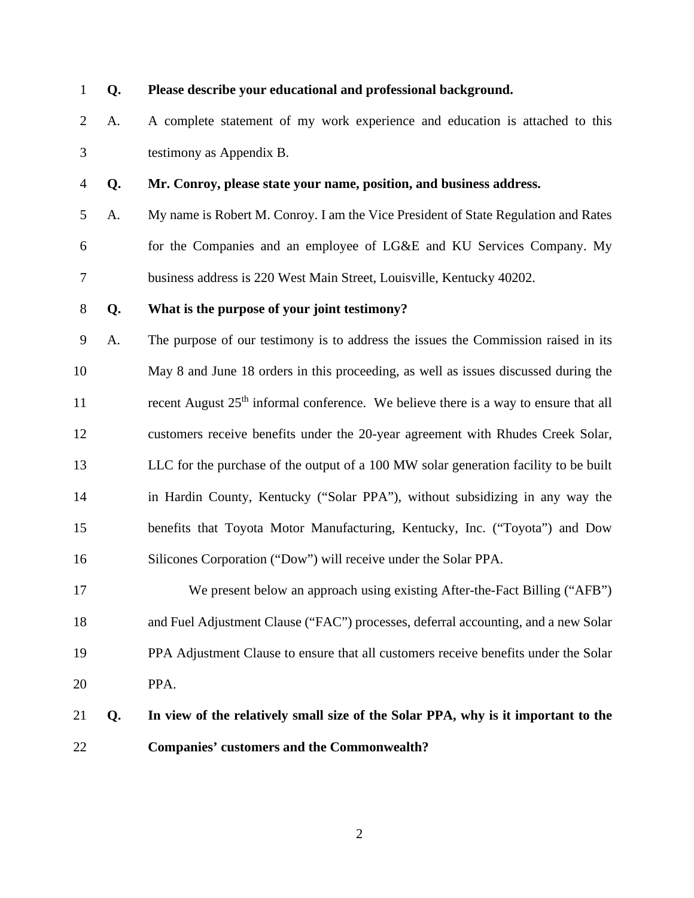#### 1 **Q. Please describe your educational and professional background.**

- 2 A. A complete statement of my work experience and education is attached to this 3 testimony as Appendix B.
- 4 **Q. Mr. Conroy, please state your name, position, and business address.**
- 5 A. My name is Robert M. Conroy. I am the Vice President of State Regulation and Rates 6 for the Companies and an employee of LG&E and KU Services Company. My 7 business address is 220 West Main Street, Louisville, Kentucky 40202.

#### 8 **Q. What is the purpose of your joint testimony?**

- 9 A. The purpose of our testimony is to address the issues the Commission raised in its 10 May 8 and June 18 orders in this proceeding, as well as issues discussed during the 11 recent August  $25<sup>th</sup>$  informal conference. We believe there is a way to ensure that all 12 customers receive benefits under the 20-year agreement with Rhudes Creek Solar, 13 LLC for the purchase of the output of a 100 MW solar generation facility to be built 14 in Hardin County, Kentucky ("Solar PPA"), without subsidizing in any way the 15 benefits that Toyota Motor Manufacturing, Kentucky, Inc. ("Toyota") and Dow 16 Silicones Corporation ("Dow") will receive under the Solar PPA.
- 17 We present below an approach using existing After-the-Fact Billing ("AFB") 18 and Fuel Adjustment Clause ("FAC") processes, deferral accounting, and a new Solar 19 PPA Adjustment Clause to ensure that all customers receive benefits under the Solar 20 PPA.

# 21 **Q. In view of the relatively small size of the Solar PPA, why is it important to the**  22 **Companies' customers and the Commonwealth?**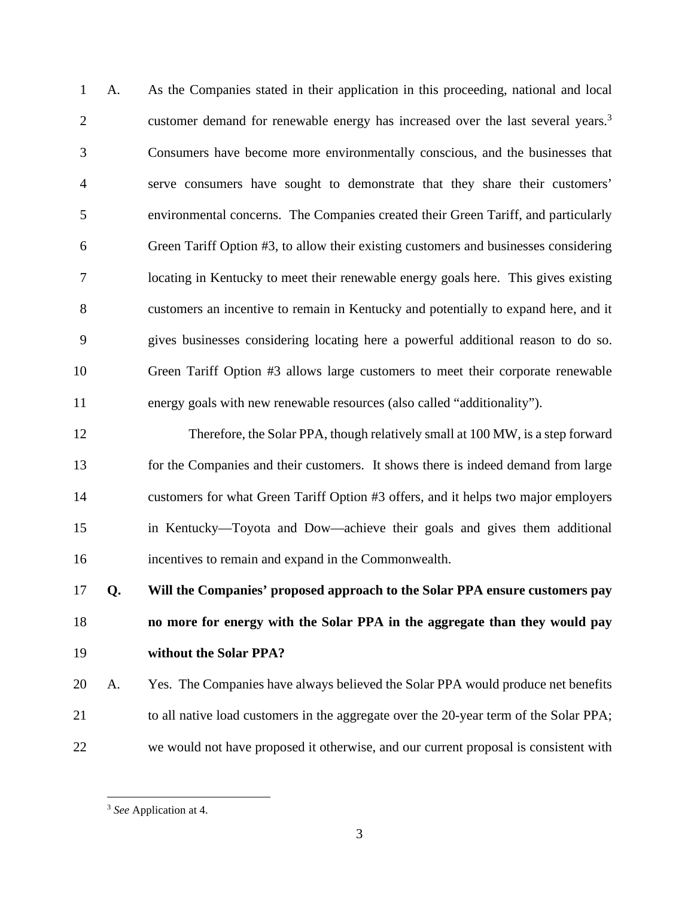1 A. As the Companies stated in their application in this proceeding, national and local customer demand for renewable energy has increased over the last several years.<sup>3</sup> 2 3 Consumers have become more environmentally conscious, and the businesses that 4 serve consumers have sought to demonstrate that they share their customers' 5 environmental concerns. The Companies created their Green Tariff, and particularly 6 Green Tariff Option #3, to allow their existing customers and businesses considering 7 locating in Kentucky to meet their renewable energy goals here. This gives existing 8 customers an incentive to remain in Kentucky and potentially to expand here, and it 9 gives businesses considering locating here a powerful additional reason to do so. 10 Green Tariff Option #3 allows large customers to meet their corporate renewable 11 energy goals with new renewable resources (also called "additionality").

12 Therefore, the Solar PPA, though relatively small at 100 MW, is a step forward 13 for the Companies and their customers. It shows there is indeed demand from large 14 customers for what Green Tariff Option #3 offers, and it helps two major employers 15 in Kentucky—Toyota and Dow—achieve their goals and gives them additional 16 incentives to remain and expand in the Commonwealth.

17 **Q. Will the Companies' proposed approach to the Solar PPA ensure customers pay**  18 **no more for energy with the Solar PPA in the aggregate than they would pay**  19 **without the Solar PPA?** 

20 A. Yes. The Companies have always believed the Solar PPA would produce net benefits 21 to all native load customers in the aggregate over the 20-year term of the Solar PPA; 22 we would not have proposed it otherwise, and our current proposal is consistent with

<sup>3</sup> *See* Application at 4.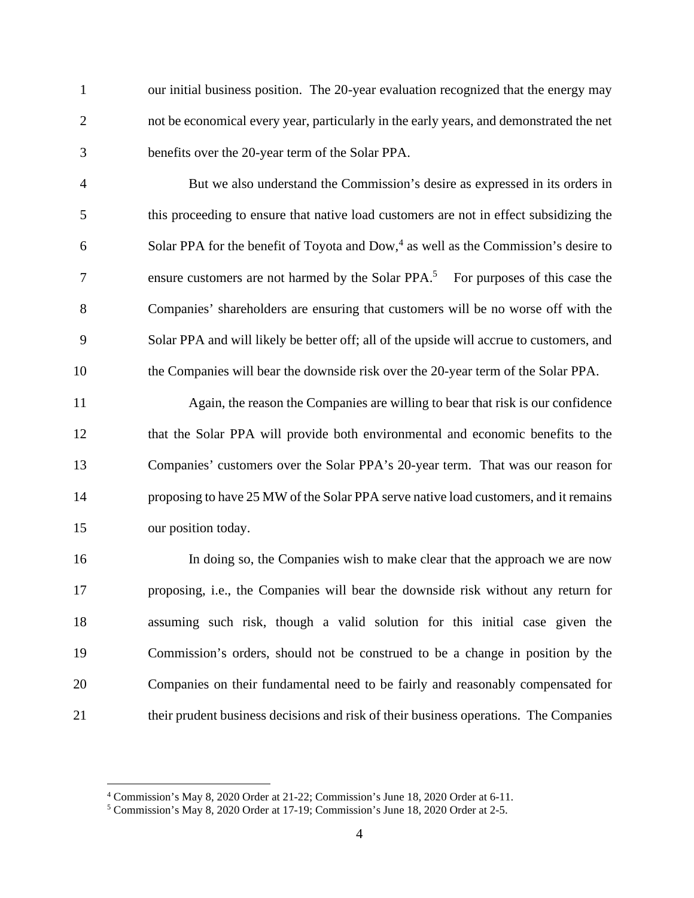1 our initial business position. The 20-year evaluation recognized that the energy may 2 not be economical every year, particularly in the early years, and demonstrated the net 3 benefits over the 20-year term of the Solar PPA.

4 But we also understand the Commission's desire as expressed in its orders in 5 this proceeding to ensure that native load customers are not in effect subsidizing the 6 Solar PPA for the benefit of Toyota and Dow, $4$  as well as the Commission's desire to 27 The sensure customers are not harmed by the Solar PPA.<sup>5</sup> For purposes of this case the 8 Companies' shareholders are ensuring that customers will be no worse off with the 9 Solar PPA and will likely be better off; all of the upside will accrue to customers, and 10 the Companies will bear the downside risk over the 20-year term of the Solar PPA.

11 Again, the reason the Companies are willing to bear that risk is our confidence 12 that the Solar PPA will provide both environmental and economic benefits to the 13 Companies' customers over the Solar PPA's 20-year term. That was our reason for 14 proposing to have 25 MW of the Solar PPA serve native load customers, and it remains 15 our position today.

16 In doing so, the Companies wish to make clear that the approach we are now 17 proposing, i.e., the Companies will bear the downside risk without any return for 18 assuming such risk, though a valid solution for this initial case given the 19 Commission's orders, should not be construed to be a change in position by the 20 Companies on their fundamental need to be fairly and reasonably compensated for 21 their prudent business decisions and risk of their business operations. The Companies

<sup>4</sup> Commission's May 8, 2020 Order at 21-22; Commission's June 18, 2020 Order at 6-11.

<sup>5</sup> Commission's May 8, 2020 Order at 17-19; Commission's June 18, 2020 Order at 2-5.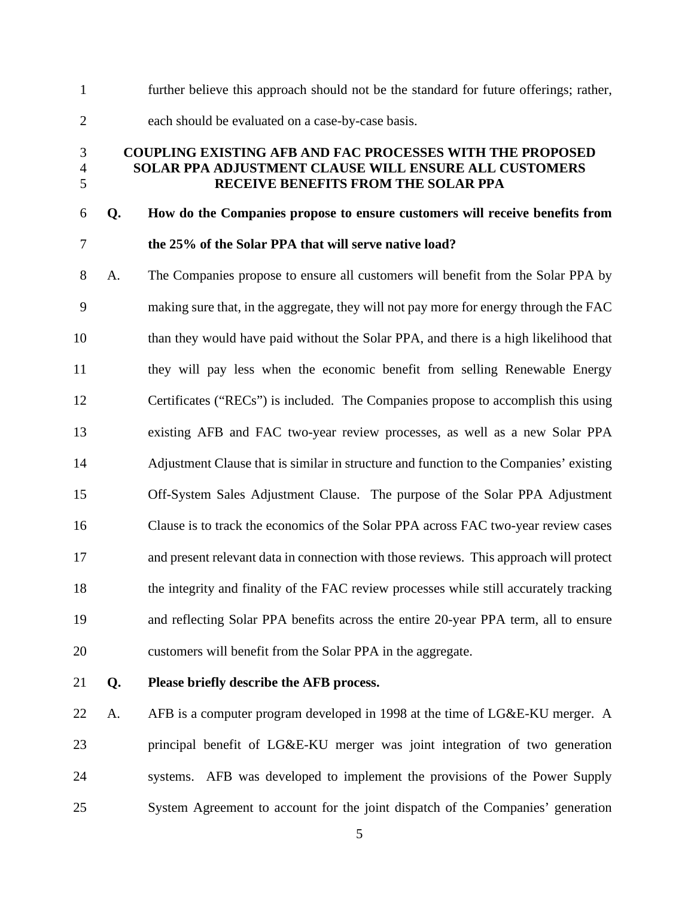1 further believe this approach should not be the standard for future offerings; rather, 2 each should be evaluated on a case-by-case basis.

# 3 **COUPLING EXISTING AFB AND FAC PROCESSES WITH THE PROPOSED**  4 **SOLAR PPA ADJUSTMENT CLAUSE WILL ENSURE ALL CUSTOMERS**  5 **RECEIVE BENEFITS FROM THE SOLAR PPA**

# 6 **Q. How do the Companies propose to ensure customers will receive benefits from**  7 **the 25% of the Solar PPA that will serve native load?**

8 A. The Companies propose to ensure all customers will benefit from the Solar PPA by 9 making sure that, in the aggregate, they will not pay more for energy through the FAC 10 than they would have paid without the Solar PPA, and there is a high likelihood that 11 they will pay less when the economic benefit from selling Renewable Energy 12 Certificates ("RECs") is included. The Companies propose to accomplish this using 13 existing AFB and FAC two-year review processes, as well as a new Solar PPA 14 Adjustment Clause that is similar in structure and function to the Companies' existing 15 Off-System Sales Adjustment Clause. The purpose of the Solar PPA Adjustment 16 Clause is to track the economics of the Solar PPA across FAC two-year review cases 17 and present relevant data in connection with those reviews. This approach will protect 18 the integrity and finality of the FAC review processes while still accurately tracking 19 and reflecting Solar PPA benefits across the entire 20-year PPA term, all to ensure 20 customers will benefit from the Solar PPA in the aggregate.

# 21 **Q. Please briefly describe the AFB process.**

22 A. AFB is a computer program developed in 1998 at the time of LG&E-KU merger. A 23 principal benefit of LG&E-KU merger was joint integration of two generation 24 systems. AFB was developed to implement the provisions of the Power Supply 25 System Agreement to account for the joint dispatch of the Companies' generation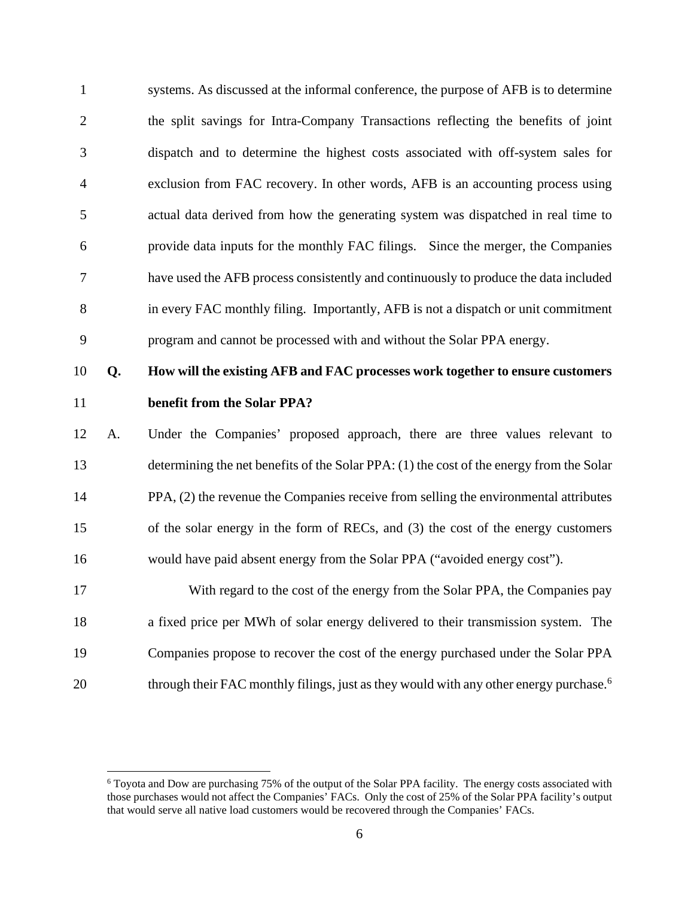1 systems. As discussed at the informal conference, the purpose of AFB is to determine 2 the split savings for Intra-Company Transactions reflecting the benefits of joint 3 dispatch and to determine the highest costs associated with off-system sales for 4 exclusion from FAC recovery. In other words, AFB is an accounting process using 5 actual data derived from how the generating system was dispatched in real time to 6 provide data inputs for the monthly FAC filings. Since the merger, the Companies 7 have used the AFB process consistently and continuously to produce the data included 8 in every FAC monthly filing. Importantly, AFB is not a dispatch or unit commitment 9 program and cannot be processed with and without the Solar PPA energy.

# 10 **Q. How will the existing AFB and FAC processes work together to ensure customers**  11 **benefit from the Solar PPA?**

12 A. Under the Companies' proposed approach, there are three values relevant to 13 determining the net benefits of the Solar PPA: (1) the cost of the energy from the Solar 14 PPA, (2) the revenue the Companies receive from selling the environmental attributes 15 of the solar energy in the form of RECs, and (3) the cost of the energy customers 16 would have paid absent energy from the Solar PPA ("avoided energy cost").

17 With regard to the cost of the energy from the Solar PPA, the Companies pay 18 a fixed price per MWh of solar energy delivered to their transmission system. The 19 Companies propose to recover the cost of the energy purchased under the Solar PPA through their FAC monthly filings, just as they would with any other energy purchase.<sup>6</sup> 20

<sup>&</sup>lt;sup>6</sup> Toyota and Dow are purchasing 75% of the output of the Solar PPA facility. The energy costs associated with those purchases would not affect the Companies' FACs. Only the cost of 25% of the Solar PPA facility's output that would serve all native load customers would be recovered through the Companies' FACs.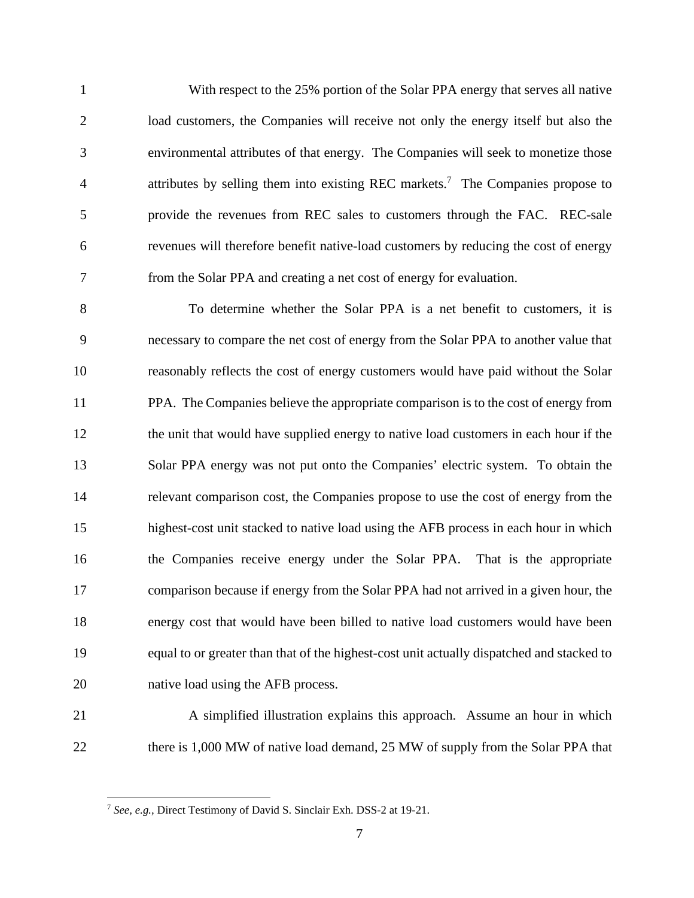1 With respect to the 25% portion of the Solar PPA energy that serves all native 2 load customers, the Companies will receive not only the energy itself but also the 3 environmental attributes of that energy. The Companies will seek to monetize those 4 attributes by selling them into existing REC markets.<sup>7</sup> The Companies propose to 5 provide the revenues from REC sales to customers through the FAC. REC-sale 6 revenues will therefore benefit native-load customers by reducing the cost of energy 7 from the Solar PPA and creating a net cost of energy for evaluation.

8 To determine whether the Solar PPA is a net benefit to customers, it is 9 necessary to compare the net cost of energy from the Solar PPA to another value that 10 reasonably reflects the cost of energy customers would have paid without the Solar 11 PPA. The Companies believe the appropriate comparison is to the cost of energy from 12 the unit that would have supplied energy to native load customers in each hour if the 13 Solar PPA energy was not put onto the Companies' electric system. To obtain the 14 relevant comparison cost, the Companies propose to use the cost of energy from the 15 highest-cost unit stacked to native load using the AFB process in each hour in which 16 the Companies receive energy under the Solar PPA. That is the appropriate 17 comparison because if energy from the Solar PPA had not arrived in a given hour, the 18 energy cost that would have been billed to native load customers would have been 19 equal to or greater than that of the highest-cost unit actually dispatched and stacked to 20 native load using the AFB process.

21 A simplified illustration explains this approach. Assume an hour in which 22 there is 1,000 MW of native load demand, 25 MW of supply from the Solar PPA that

<sup>7</sup> *See, e.g.,* Direct Testimony of David S. Sinclair Exh. DSS-2 at 19-21.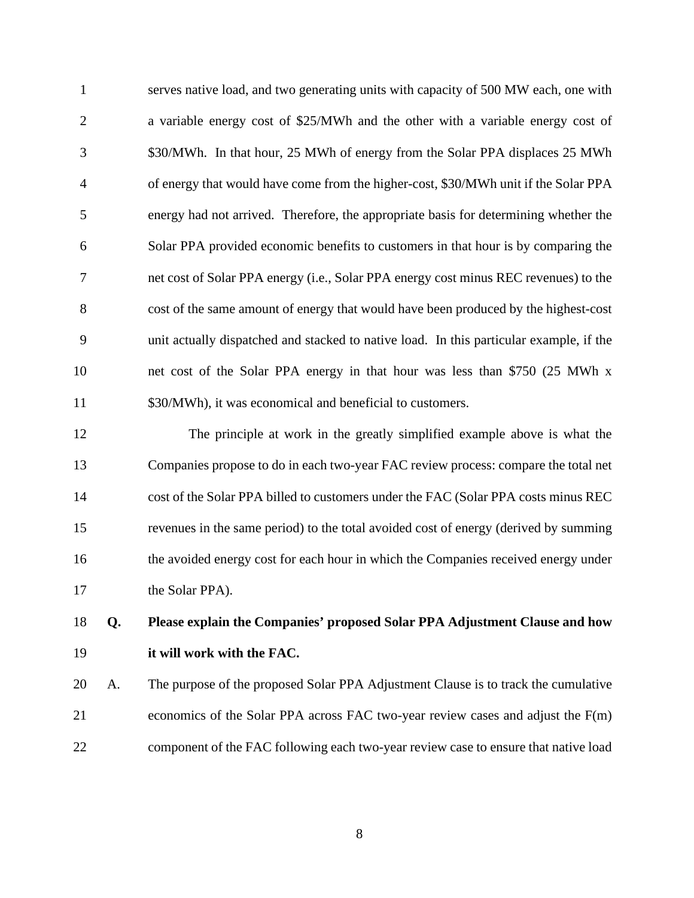1 serves native load, and two generating units with capacity of 500 MW each, one with 2 a variable energy cost of \$25/MWh and the other with a variable energy cost of 3 \$30/MWh. In that hour, 25 MWh of energy from the Solar PPA displaces 25 MWh 4 of energy that would have come from the higher-cost, \$30/MWh unit if the Solar PPA 5 energy had not arrived. Therefore, the appropriate basis for determining whether the 6 Solar PPA provided economic benefits to customers in that hour is by comparing the 7 net cost of Solar PPA energy (i.e., Solar PPA energy cost minus REC revenues) to the 8 cost of the same amount of energy that would have been produced by the highest-cost 9 unit actually dispatched and stacked to native load. In this particular example, if the 10 net cost of the Solar PPA energy in that hour was less than \$750 (25 MWh x 11 \$30/MWh), it was economical and beneficial to customers.

12 The principle at work in the greatly simplified example above is what the 13 Companies propose to do in each two-year FAC review process: compare the total net 14 cost of the Solar PPA billed to customers under the FAC (Solar PPA costs minus REC 15 revenues in the same period) to the total avoided cost of energy (derived by summing 16 the avoided energy cost for each hour in which the Companies received energy under 17 the Solar PPA).

# 18 **Q. Please explain the Companies' proposed Solar PPA Adjustment Clause and how**  19 **it will work with the FAC.**

20 A. The purpose of the proposed Solar PPA Adjustment Clause is to track the cumulative 21 economics of the Solar PPA across FAC two-year review cases and adjust the F(m) 22 component of the FAC following each two-year review case to ensure that native load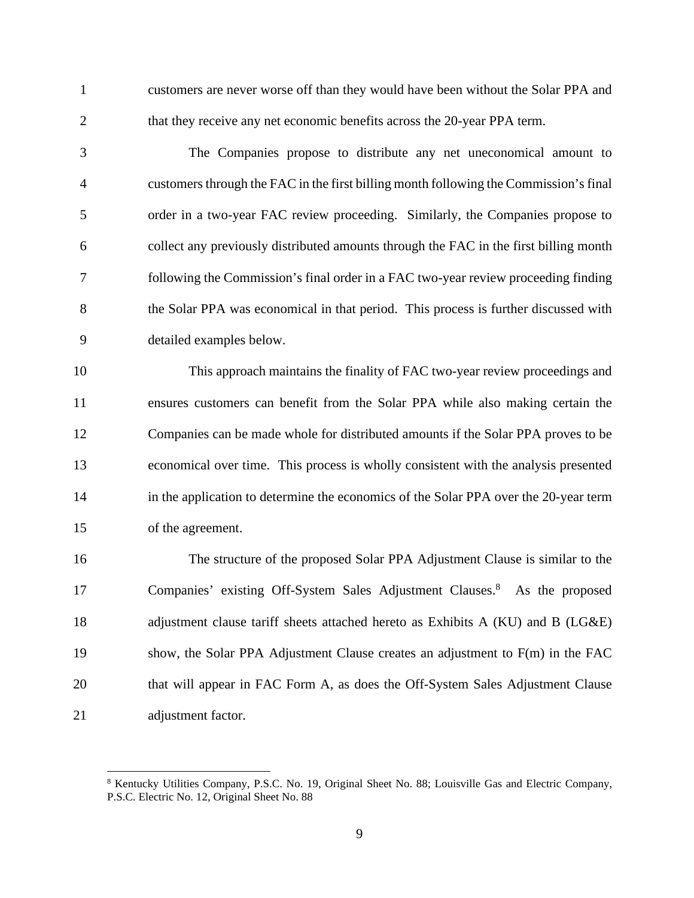1 customers are never worse off than they would have been without the Solar PPA and 2 that they receive any net economic benefits across the 20-year PPA term.

3 The Companies propose to distribute any net uneconomical amount to 4 customers through the FAC in the first billing month following the Commission's final 5 order in a two-year FAC review proceeding. Similarly, the Companies propose to 6 collect any previously distributed amounts through the FAC in the first billing month 7 following the Commission's final order in a FAC two-year review proceeding finding 8 the Solar PPA was economical in that period. This process is further discussed with 9 detailed examples below.

10 This approach maintains the finality of FAC two-year review proceedings and 11 ensures customers can benefit from the Solar PPA while also making certain the 12 Companies can be made whole for distributed amounts if the Solar PPA proves to be 13 economical over time. This process is wholly consistent with the analysis presented 14 in the application to determine the economics of the Solar PPA over the 20-year term 15 of the agreement.

16 The structure of the proposed Solar PPA Adjustment Clause is similar to the 17 Companies' existing Off-System Sales Adjustment Clauses.<sup>8</sup> As the proposed 18 adjustment clause tariff sheets attached hereto as Exhibits A (KU) and B (LG&E) 19 show, the Solar PPA Adjustment Clause creates an adjustment to F(m) in the FAC 20 that will appear in FAC Form A, as does the Off-System Sales Adjustment Clause 21 adjustment factor.

<sup>&</sup>lt;sup>8</sup> Kentucky Utilities Company, P.S.C. No. 19, Original Sheet No. 88; Louisville Gas and Electric Company, P.S.C. Electric No. 12, Original Sheet No. 88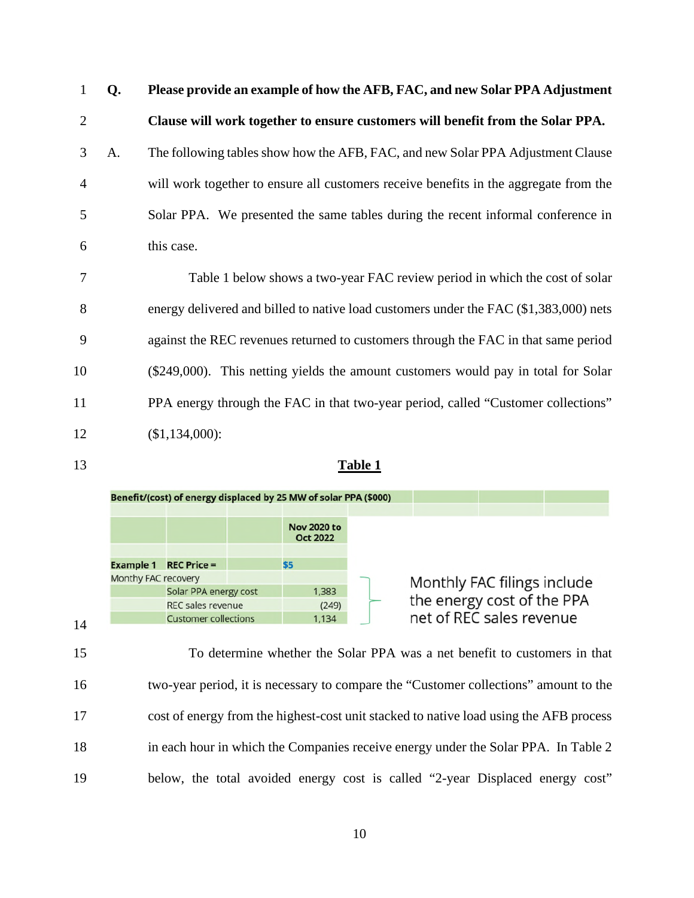1 **Q. Please provide an example of how the AFB, FAC, and new Solar PPA Adjustment**  2 **Clause will work together to ensure customers will benefit from the Solar PPA.**  3 A. The following tables show how the AFB, FAC, and new Solar PPA Adjustment Clause 4 will work together to ensure all customers receive benefits in the aggregate from the 5 Solar PPA. We presented the same tables during the recent informal conference in 6 this case.

7 Table 1 below shows a two-year FAC review period in which the cost of solar 8 energy delivered and billed to native load customers under the FAC (\$1,383,000) nets 9 against the REC revenues returned to customers through the FAC in that same period 10 (\$249,000). This netting yields the amount customers would pay in total for Solar 11 PPA energy through the FAC in that two-year period, called "Customer collections" 12 (\$1,134,000):

| 13 | <b>Table 1</b> |
|----|----------------|
|    |                |



15 To determine whether the Solar PPA was a net benefit to customers in that 16 two-year period, it is necessary to compare the "Customer collections" amount to the 17 cost of energy from the highest-cost unit stacked to native load using the AFB process 18 in each hour in which the Companies receive energy under the Solar PPA. In Table 2 19 below, the total avoided energy cost is called "2-year Displaced energy cost"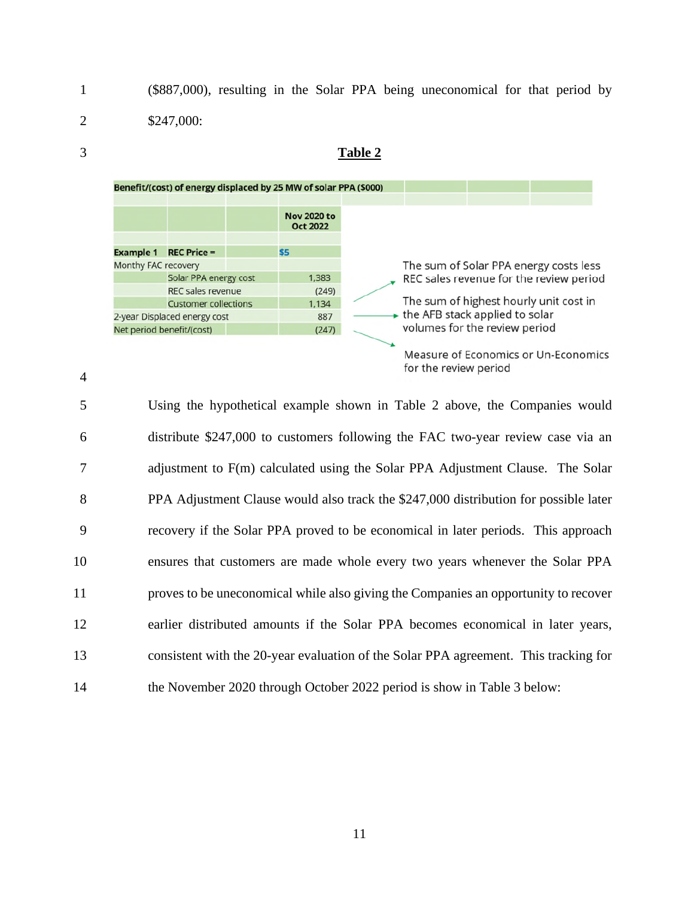1 (\$887,000), resulting in the Solar PPA being uneconomical for that period by 2 \$247,000:





<sup>4</sup> 

5 Using the hypothetical example shown in Table 2 above, the Companies would 6 distribute \$247,000 to customers following the FAC two-year review case via an 7 adjustment to F(m) calculated using the Solar PPA Adjustment Clause. The Solar 8 PPA Adjustment Clause would also track the \$247,000 distribution for possible later 9 recovery if the Solar PPA proved to be economical in later periods. This approach 10 ensures that customers are made whole every two years whenever the Solar PPA 11 proves to be uneconomical while also giving the Companies an opportunity to recover 12 earlier distributed amounts if the Solar PPA becomes economical in later years, 13 consistent with the 20-year evaluation of the Solar PPA agreement. This tracking for 14 the November 2020 through October 2022 period is show in Table 3 below: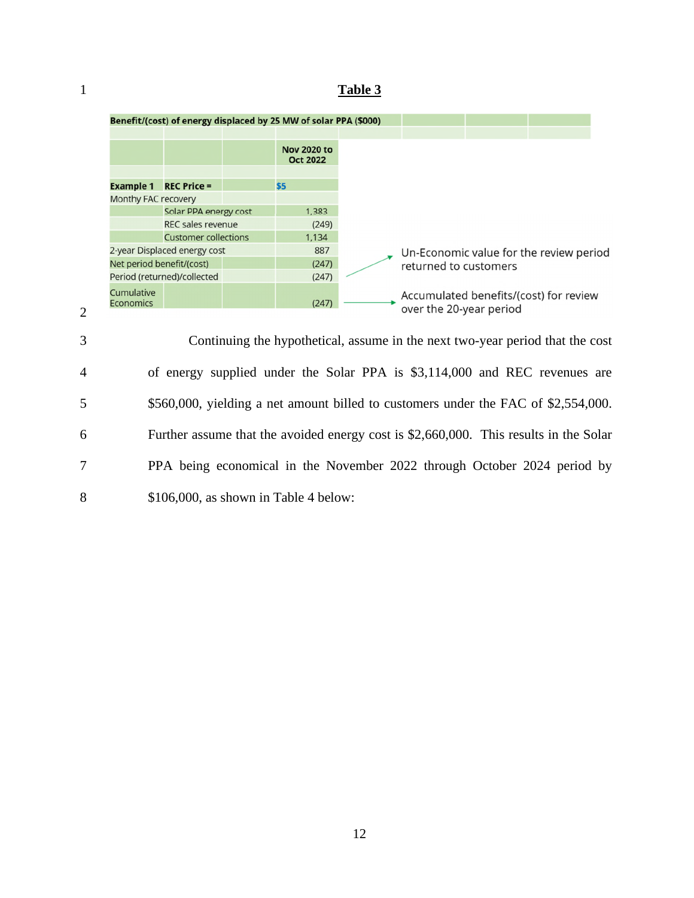# 1 **Table 3**



4 of energy supplied under the Solar PPA is \$3,114,000 and REC revenues are 5 \$560,000, yielding a net amount billed to customers under the FAC of \$2,554,000. 6 Further assume that the avoided energy cost is \$2,660,000. This results in the Solar 7 PPA being economical in the November 2022 through October 2024 period by 8 \$106,000, as shown in Table 4 below:

2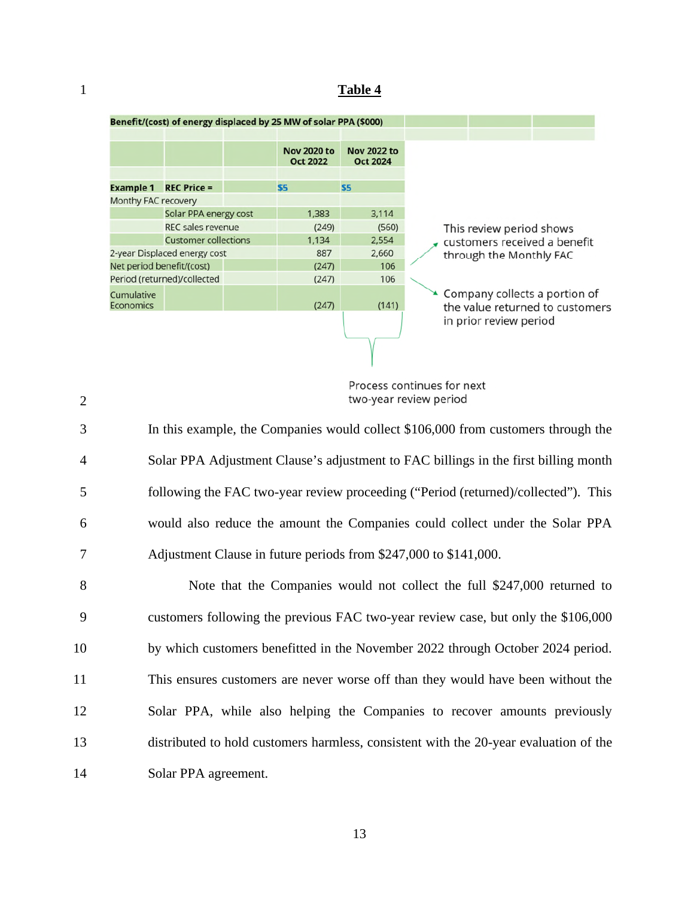#### 1 **Table 4**



Process continues for next two-year review period

3 In this example, the Companies would collect \$106,000 from customers through the 4 Solar PPA Adjustment Clause's adjustment to FAC billings in the first billing month 5 following the FAC two-year review proceeding ("Period (returned)/collected"). This 6 would also reduce the amount the Companies could collect under the Solar PPA 7 Adjustment Clause in future periods from \$247,000 to \$141,000. 8 Note that the Companies would not collect the full \$247,000 returned to 9 customers following the previous FAC two-year review case, but only the \$106,000 10 by which customers benefitted in the November 2022 through October 2024 period. 11 This ensures customers are never worse off than they would have been without the

- 12 Solar PPA, while also helping the Companies to recover amounts previously 13 distributed to hold customers harmless, consistent with the 20-year evaluation of the
- 14 Solar PPA agreement.

13

2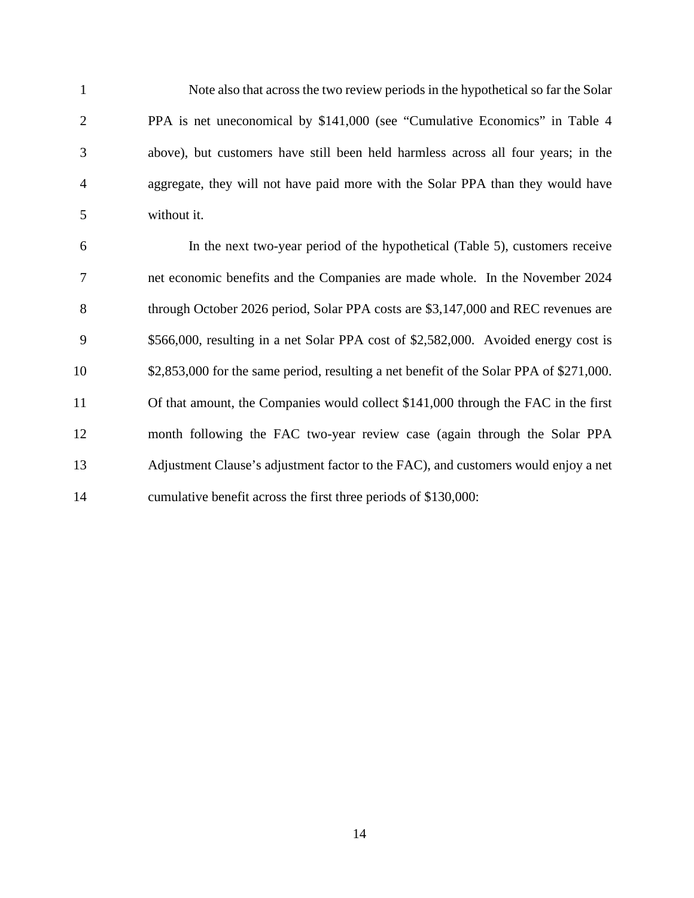1 Note also that across the two review periods in the hypothetical so far the Solar 2 PPA is net uneconomical by \$141,000 (see "Cumulative Economics" in Table 4 3 above), but customers have still been held harmless across all four years; in the 4 aggregate, they will not have paid more with the Solar PPA than they would have 5 without it.

6 In the next two-year period of the hypothetical (Table 5), customers receive 7 net economic benefits and the Companies are made whole. In the November 2024 8 through October 2026 period, Solar PPA costs are \$3,147,000 and REC revenues are 9 \$566,000, resulting in a net Solar PPA cost of \$2,582,000. Avoided energy cost is 10 \$2,853,000 for the same period, resulting a net benefit of the Solar PPA of \$271,000. 11 Of that amount, the Companies would collect \$141,000 through the FAC in the first 12 month following the FAC two-year review case (again through the Solar PPA 13 Adjustment Clause's adjustment factor to the FAC), and customers would enjoy a net 14 cumulative benefit across the first three periods of \$130,000: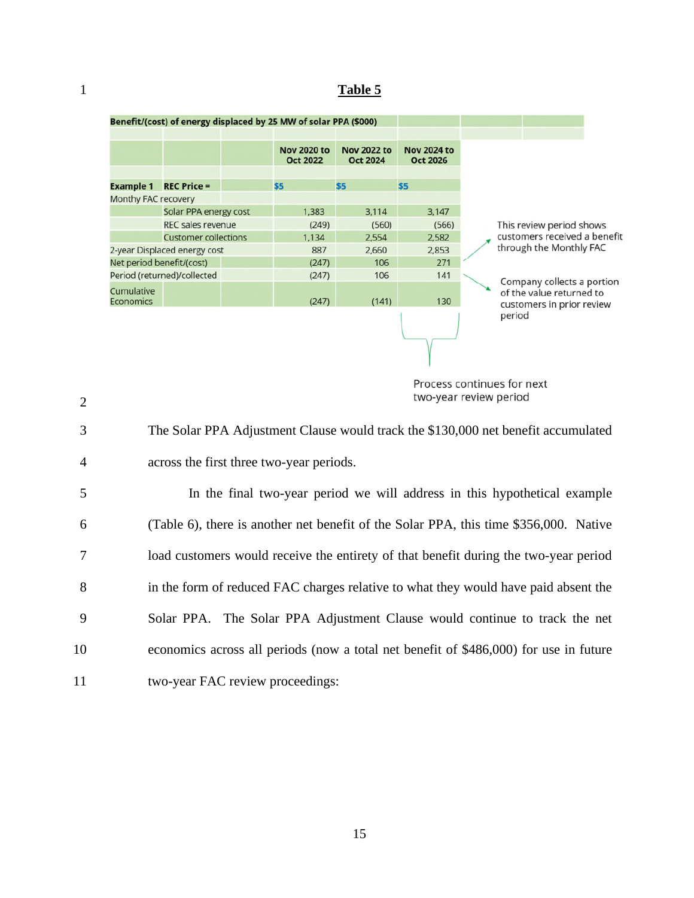# 1 **Table 5**

|                                |                             |       | Benefit/(cost) of energy displaced by 25 MW of solar PPA (\$000) |                                       |                                       |                                                                                     |
|--------------------------------|-----------------------------|-------|------------------------------------------------------------------|---------------------------------------|---------------------------------------|-------------------------------------------------------------------------------------|
|                                |                             |       | <b>Nov 2020 to</b><br><b>Oct 2022</b>                            | <b>Nov 2022 to</b><br><b>Oct 2024</b> | <b>Nov 2024 to</b><br><b>Oct 2026</b> |                                                                                     |
| <b>Example 1</b>               | <b>REC Price =</b>          |       | \$5                                                              | \$5                                   | <b>S5</b>                             |                                                                                     |
| Monthy FAC recovery            |                             |       |                                                                  |                                       |                                       |                                                                                     |
|                                | Solar PPA energy cost       |       | 1,383                                                            | 3,114                                 | 3,147                                 |                                                                                     |
|                                | <b>REC sales revenue</b>    |       | (249)                                                            | (560)                                 | (566)                                 | This review period shows                                                            |
| <b>Customer collections</b>    |                             | 1,134 | 2,554                                                            | 2,582                                 | customers received a benefit          |                                                                                     |
| 2-year Displaced energy cost   |                             | 887   | 2,660                                                            | 2,853                                 | through the Monthly FAC               |                                                                                     |
| Net period benefit/(cost)      |                             | (247) | 106                                                              | 271                                   |                                       |                                                                                     |
|                                | Period (returned)/collected |       | (247)                                                            | 106                                   | 141                                   |                                                                                     |
| Cumulative<br><b>Economics</b> |                             |       | (247)                                                            | (141)                                 | 130                                   | Company collects a portion<br>of the value returned to<br>customers in prior review |
|                                |                             |       |                                                                  |                                       |                                       | period                                                                              |

Process continues for next two-year review period

3 The Solar PPA Adjustment Clause would track the \$130,000 net benefit accumulated 4 across the first three two-year periods.

5 In the final two-year period we will address in this hypothetical example 6 (Table 6), there is another net benefit of the Solar PPA, this time \$356,000. Native 7 load customers would receive the entirety of that benefit during the two-year period 8 in the form of reduced FAC charges relative to what they would have paid absent the 9 Solar PPA. The Solar PPA Adjustment Clause would continue to track the net 10 economics across all periods (now a total net benefit of \$486,000) for use in future 11 two-year FAC review proceedings:

 $\mathcal{L}$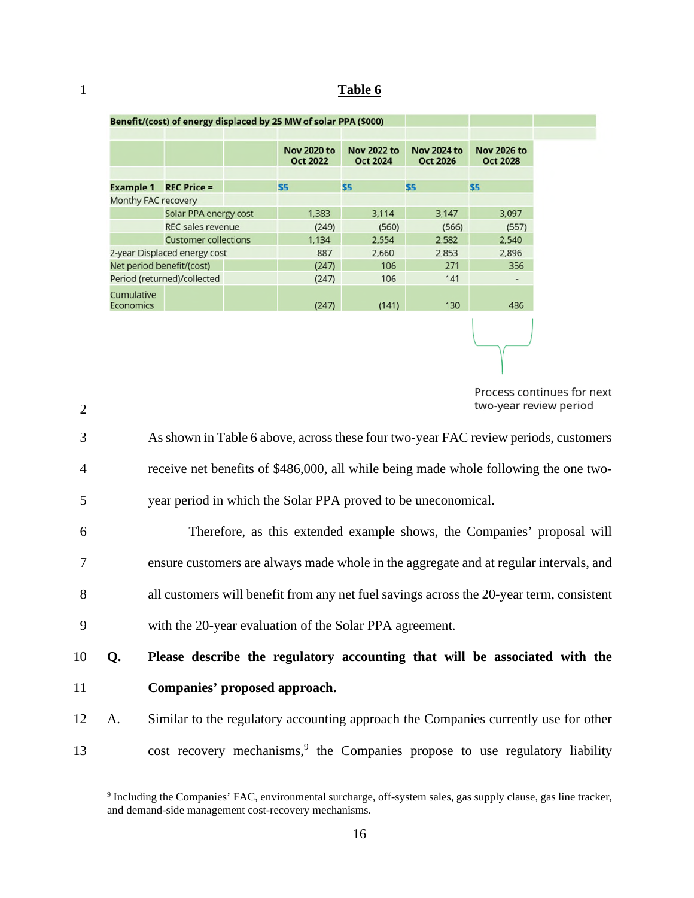# 1 **Table 6**

| Benefit/(cost) of energy displaced by 25 MW of solar PPA (\$000) |                              |  |                                       |                                       |                                       |                                       |
|------------------------------------------------------------------|------------------------------|--|---------------------------------------|---------------------------------------|---------------------------------------|---------------------------------------|
|                                                                  |                              |  |                                       |                                       |                                       |                                       |
|                                                                  |                              |  | <b>Nov 2020 to</b><br><b>Oct 2022</b> | <b>Nov 2022 to</b><br><b>Oct 2024</b> | <b>Nov 2024 to</b><br><b>Oct 2026</b> | <b>Nov 2026 to</b><br><b>Oct 2028</b> |
|                                                                  |                              |  |                                       |                                       |                                       |                                       |
| <b>Example 1</b>                                                 | <b>REC Price =</b>           |  | \$5                                   | \$5                                   | <b>S5</b>                             | <b>S5</b>                             |
| Monthy FAC recovery                                              |                              |  |                                       |                                       |                                       |                                       |
|                                                                  | Solar PPA energy cost        |  | 1,383                                 | 3,114                                 | 3.147                                 | 3,097                                 |
|                                                                  | <b>REC sales revenue</b>     |  | (249)                                 | (560)                                 | (566)                                 | (557)                                 |
|                                                                  | <b>Customer collections</b>  |  | 1,134                                 | 2,554                                 | 2,582                                 | 2,540                                 |
|                                                                  | 2-year Displaced energy cost |  | 887                                   | 2,660                                 | 2,853                                 | 2,896                                 |
| Net period benefit/(cost)                                        |                              |  | (247)                                 | 106                                   | 271                                   | 356                                   |
|                                                                  | Period (returned)/collected  |  | (247)                                 | 106                                   | 141                                   |                                       |
| Cumulative<br><b>Economics</b>                                   |                              |  | (247)                                 | (141)                                 | 130                                   | 486                                   |
|                                                                  |                              |  |                                       |                                       |                                       |                                       |

| $\overline{2}$ | two-year review period                                                                   |
|----------------|------------------------------------------------------------------------------------------|
| 3              | As shown in Table 6 above, across these four two-year FAC review periods, customers      |
| $\overline{4}$ | receive net benefits of \$486,000, all while being made whole following the one two-     |
| 5              | year period in which the Solar PPA proved to be uneconomical.                            |
| 6              | Therefore, as this extended example shows, the Companies' proposal will                  |
| 7              | ensure customers are always made whole in the aggregate and at regular intervals, and    |
| 8              | all customers will benefit from any net fuel savings across the 20-year term, consistent |
| 9              | with the 20-year evaluation of the Solar PPA agreement.                                  |
| 10<br>Q.       | Please describe the regulatory accounting that will be associated with the               |
| 11             | Companies' proposed approach.                                                            |
| 12<br>A.       | Similar to the regulatory accounting approach the Companies currently use for other      |
| 13             | cost recovery mechanisms, <sup>9</sup> the Companies propose to use regulatory liability |

Process continues for next two-year review period

<sup>&</sup>lt;sup>9</sup> Including the Companies' FAC, environmental surcharge, off-system sales, gas supply clause, gas line tracker, and demand-side management cost-recovery mechanisms.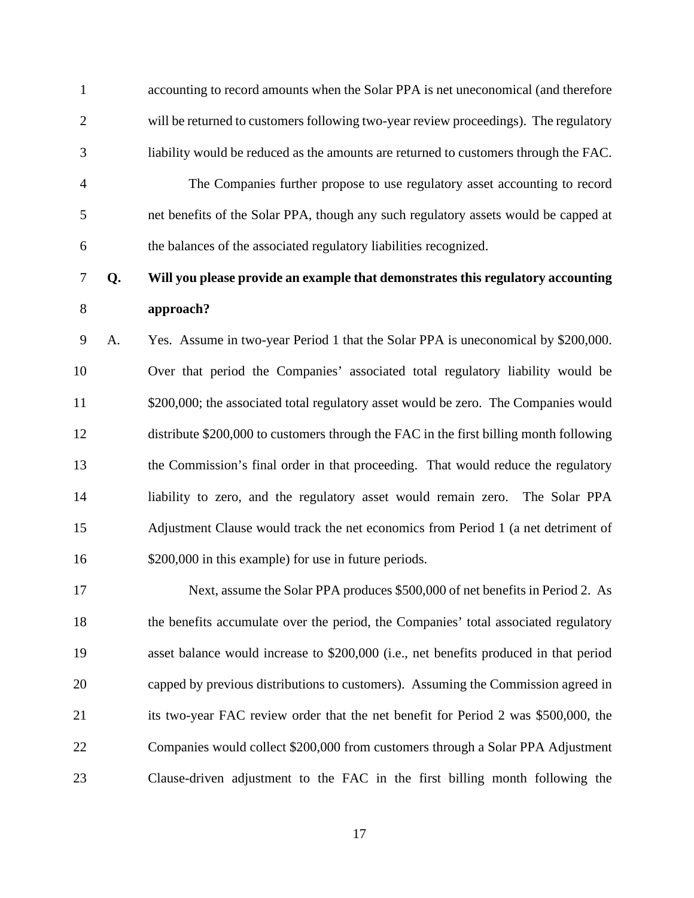1 accounting to record amounts when the Solar PPA is net uneconomical (and therefore 2 will be returned to customers following two-year review proceedings). The regulatory 3 liability would be reduced as the amounts are returned to customers through the FAC.

4 The Companies further propose to use regulatory asset accounting to record 5 net benefits of the Solar PPA, though any such regulatory assets would be capped at 6 the balances of the associated regulatory liabilities recognized.

7 **Q. Will you please provide an example that demonstrates this regulatory accounting**  8 **approach?** 

9 A. Yes. Assume in two-year Period 1 that the Solar PPA is uneconomical by \$200,000. 10 Over that period the Companies' associated total regulatory liability would be 11 \$200,000; the associated total regulatory asset would be zero. The Companies would 12 distribute \$200,000 to customers through the FAC in the first billing month following 13 the Commission's final order in that proceeding. That would reduce the regulatory 14 liability to zero, and the regulatory asset would remain zero. The Solar PPA 15 Adjustment Clause would track the net economics from Period 1 (a net detriment of 16 \$200,000 in this example) for use in future periods.

17 Next, assume the Solar PPA produces \$500,000 of net benefits in Period 2. As 18 the benefits accumulate over the period, the Companies' total associated regulatory 19 asset balance would increase to \$200,000 (i.e., net benefits produced in that period 20 capped by previous distributions to customers). Assuming the Commission agreed in 21 its two-year FAC review order that the net benefit for Period 2 was \$500,000, the 22 Companies would collect \$200,000 from customers through a Solar PPA Adjustment 23 Clause-driven adjustment to the FAC in the first billing month following the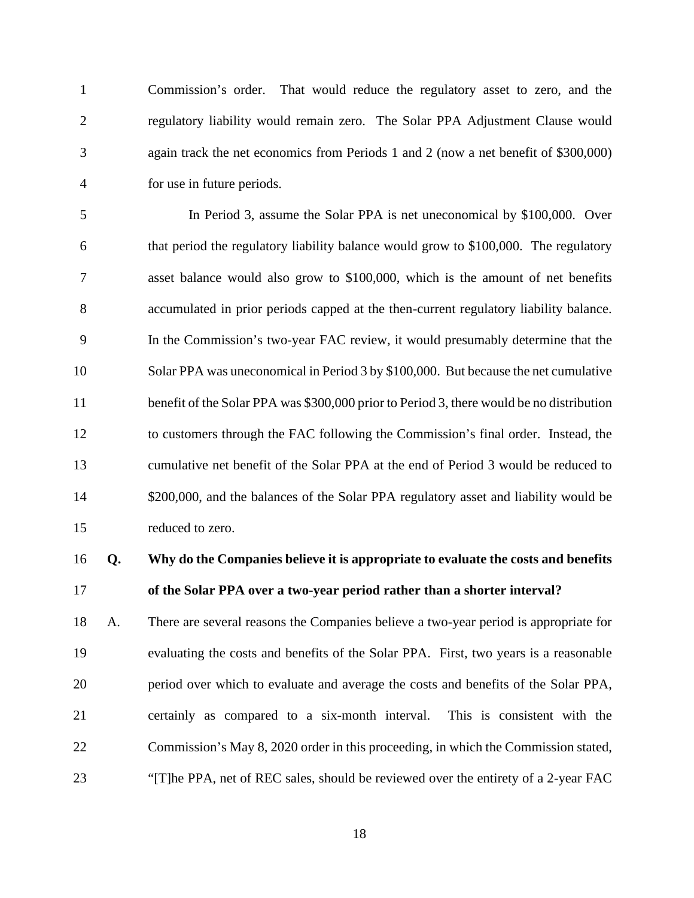1 Commission's order. That would reduce the regulatory asset to zero, and the 2 regulatory liability would remain zero. The Solar PPA Adjustment Clause would 3 again track the net economics from Periods 1 and 2 (now a net benefit of \$300,000) 4 for use in future periods.

5 In Period 3, assume the Solar PPA is net uneconomical by \$100,000. Over 6 that period the regulatory liability balance would grow to \$100,000. The regulatory 7 asset balance would also grow to \$100,000, which is the amount of net benefits 8 accumulated in prior periods capped at the then-current regulatory liability balance. 9 In the Commission's two-year FAC review, it would presumably determine that the 10 Solar PPA was uneconomical in Period 3 by \$100,000. But because the net cumulative 11 benefit of the Solar PPA was \$300,000 prior to Period 3, there would be no distribution 12 to customers through the FAC following the Commission's final order. Instead, the 13 cumulative net benefit of the Solar PPA at the end of Period 3 would be reduced to 14 \$200,000, and the balances of the Solar PPA regulatory asset and liability would be 15 reduced to zero.

# 16 **Q. Why do the Companies believe it is appropriate to evaluate the costs and benefits**  17 **of the Solar PPA over a two-year period rather than a shorter interval?**

18 A. There are several reasons the Companies believe a two-year period is appropriate for 19 evaluating the costs and benefits of the Solar PPA. First, two years is a reasonable 20 period over which to evaluate and average the costs and benefits of the Solar PPA, 21 certainly as compared to a six-month interval. This is consistent with the 22 Commission's May 8, 2020 order in this proceeding, in which the Commission stated, 23 "[T]he PPA, net of REC sales, should be reviewed over the entirety of a 2-year FAC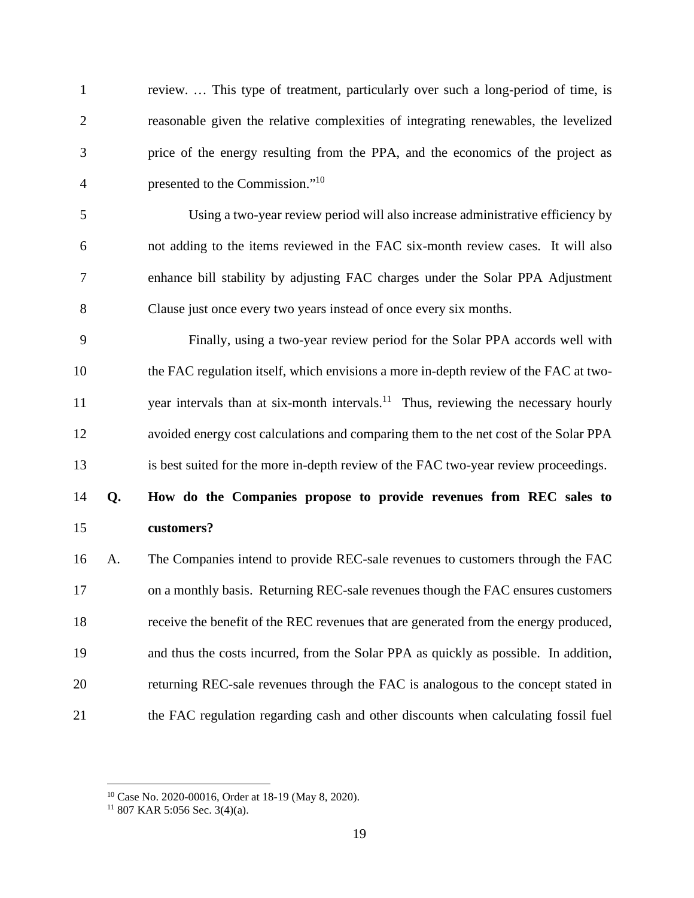| $\mathbf{1}$   |    | review This type of treatment, particularly over such a long-period of time, is                |
|----------------|----|------------------------------------------------------------------------------------------------|
| $\overline{2}$ |    | reasonable given the relative complexities of integrating renewables, the levelized            |
| 3              |    | price of the energy resulting from the PPA, and the economics of the project as                |
| $\overline{4}$ |    | presented to the Commission." <sup>10</sup>                                                    |
| 5              |    | Using a two-year review period will also increase administrative efficiency by                 |
| 6              |    | not adding to the items reviewed in the FAC six-month review cases. It will also               |
| 7              |    | enhance bill stability by adjusting FAC charges under the Solar PPA Adjustment                 |
| 8              |    | Clause just once every two years instead of once every six months.                             |
| 9              |    | Finally, using a two-year review period for the Solar PPA accords well with                    |
| 10             |    | the FAC regulation itself, which envisions a more in-depth review of the FAC at two-           |
| 11             |    | year intervals than at six-month intervals. <sup>11</sup> Thus, reviewing the necessary hourly |
| 12             |    | avoided energy cost calculations and comparing them to the net cost of the Solar PPA           |
| 13             |    | is best suited for the more in-depth review of the FAC two-year review proceedings.            |
| 14             | Q. | How do the Companies propose to provide revenues from REC sales to                             |
| 15             |    | customers?                                                                                     |
| 16             | A. | The Companies intend to provide REC-sale revenues to customers through the FAC                 |
| 17             |    | on a monthly basis. Returning REC-sale revenues though the FAC ensures customers               |
| 18             |    | receive the benefit of the REC revenues that are generated from the energy produced,           |
| 19             |    | and thus the costs incurred, from the Solar PPA as quickly as possible. In addition,           |
| 20             |    | returning REC-sale revenues through the FAC is analogous to the concept stated in              |
| 21             |    | the FAC regulation regarding cash and other discounts when calculating fossil fuel             |

<sup>10</sup> Case No. 2020-00016, Order at 18-19 (May 8, 2020).

 $11807$  KAR 5:056 Sec. 3(4)(a).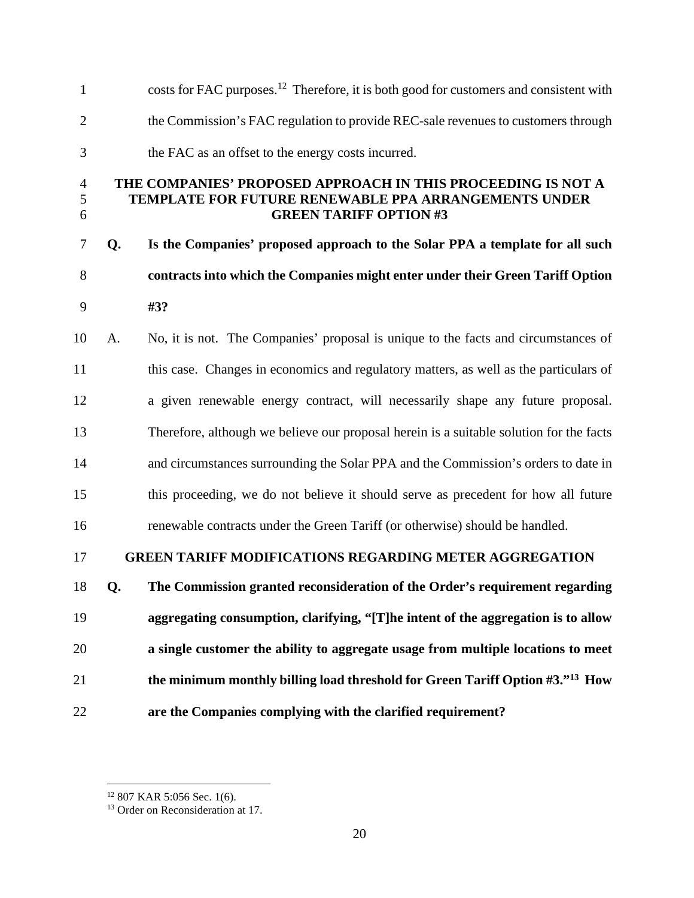| $\mathbf{1}$             |    | costs for FAC purposes. <sup>12</sup> Therefore, it is both good for customers and consistent with                                                    |
|--------------------------|----|-------------------------------------------------------------------------------------------------------------------------------------------------------|
| $\overline{2}$           |    | the Commission's FAC regulation to provide REC-sale revenues to customers through                                                                     |
| 3                        |    | the FAC as an offset to the energy costs incurred.                                                                                                    |
| $\overline{4}$<br>5<br>6 |    | THE COMPANIES' PROPOSED APPROACH IN THIS PROCEEDING IS NOT A<br>TEMPLATE FOR FUTURE RENEWABLE PPA ARRANGEMENTS UNDER<br><b>GREEN TARIFF OPTION #3</b> |
| 7                        | Q. | Is the Companies' proposed approach to the Solar PPA a template for all such                                                                          |
| 8                        |    | contracts into which the Companies might enter under their Green Tariff Option                                                                        |
| 9                        |    | #3?                                                                                                                                                   |
| 10                       | A. | No, it is not. The Companies' proposal is unique to the facts and circumstances of                                                                    |
| 11                       |    | this case. Changes in economics and regulatory matters, as well as the particulars of                                                                 |
| 12                       |    | a given renewable energy contract, will necessarily shape any future proposal.                                                                        |
| 13                       |    | Therefore, although we believe our proposal herein is a suitable solution for the facts                                                               |
| 14                       |    | and circumstances surrounding the Solar PPA and the Commission's orders to date in                                                                    |
| 15                       |    | this proceeding, we do not believe it should serve as precedent for how all future                                                                    |
| 16                       |    | renewable contracts under the Green Tariff (or otherwise) should be handled.                                                                          |
| 17                       |    | <b>GREEN TARIFF MODIFICATIONS REGARDING METER AGGREGATION</b>                                                                                         |
| 18                       | Q. | The Commission granted reconsideration of the Order's requirement regarding                                                                           |
| 19                       |    | aggregating consumption, clarifying, "[T]he intent of the aggregation is to allow                                                                     |
| 20                       |    | a single customer the ability to aggregate usage from multiple locations to meet                                                                      |
| 21                       |    | the minimum monthly billing load threshold for Green Tariff Option #3." <sup>13</sup> How                                                             |
| 22                       |    | are the Companies complying with the clarified requirement?                                                                                           |

 $12$  807 KAR 5:056 Sec. 1(6).

<sup>&</sup>lt;sup>13</sup> Order on Reconsideration at 17.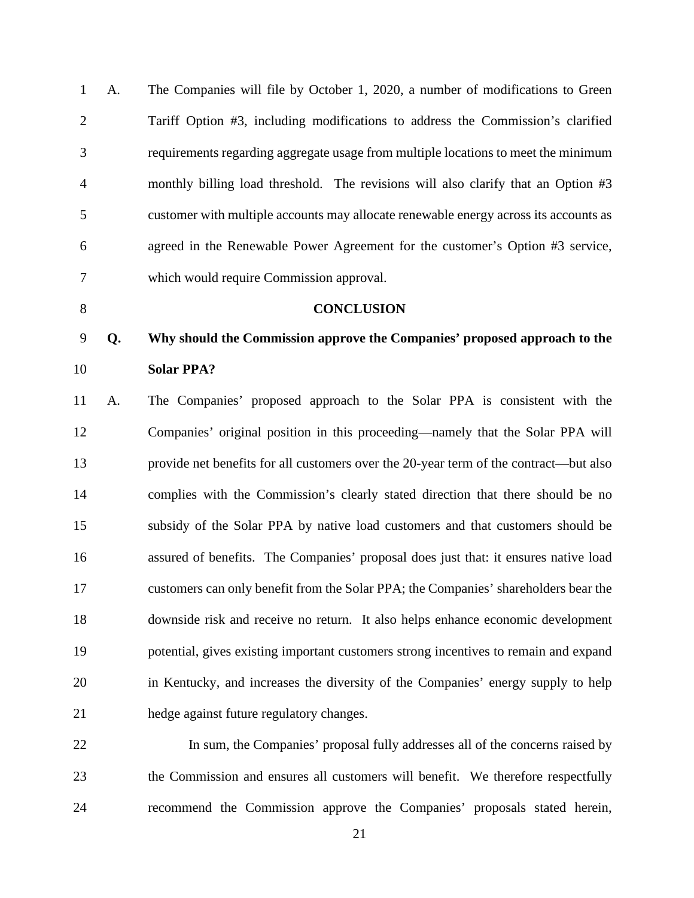| $\mathbf{1}$   | A. | The Companies will file by October 1, 2020, a number of modifications to Green        |
|----------------|----|---------------------------------------------------------------------------------------|
| $\overline{2}$ |    | Tariff Option #3, including modifications to address the Commission's clarified       |
| 3              |    | requirements regarding aggregate usage from multiple locations to meet the minimum    |
| $\overline{4}$ |    | monthly billing load threshold. The revisions will also clarify that an Option #3     |
| 5              |    | customer with multiple accounts may allocate renewable energy across its accounts as  |
| 6              |    | agreed in the Renewable Power Agreement for the customer's Option #3 service,         |
| 7              |    | which would require Commission approval.                                              |
| 8              |    | <b>CONCLUSION</b>                                                                     |
| 9              | Q. | Why should the Commission approve the Companies' proposed approach to the             |
| 10             |    | <b>Solar PPA?</b>                                                                     |
| 11             | A. | The Companies' proposed approach to the Solar PPA is consistent with the              |
| 12             |    | Companies' original position in this proceeding—namely that the Solar PPA will        |
| 13             |    | provide net benefits for all customers over the 20-year term of the contract—but also |
| 14             |    | complies with the Commission's clearly stated direction that there should be no       |
| 15             |    | subsidy of the Solar PPA by native load customers and that customers should be        |
| 16             |    | assured of benefits. The Companies' proposal does just that: it ensures native load   |
| 17             |    | customers can only benefit from the Solar PPA; the Companies' shareholders bear the   |
| 18             |    | downside risk and receive no return. It also helps enhance economic development       |
| 19             |    | potential, gives existing important customers strong incentives to remain and expand  |
| 20             |    | in Kentucky, and increases the diversity of the Companies' energy supply to help      |
| 21             |    | hedge against future regulatory changes.                                              |
| 22             |    | In sum, the Companies' proposal fully addresses all of the concerns raised by         |

23 the Commission and ensures all customers will benefit. We therefore respectfully 24 recommend the Commission approve the Companies' proposals stated herein,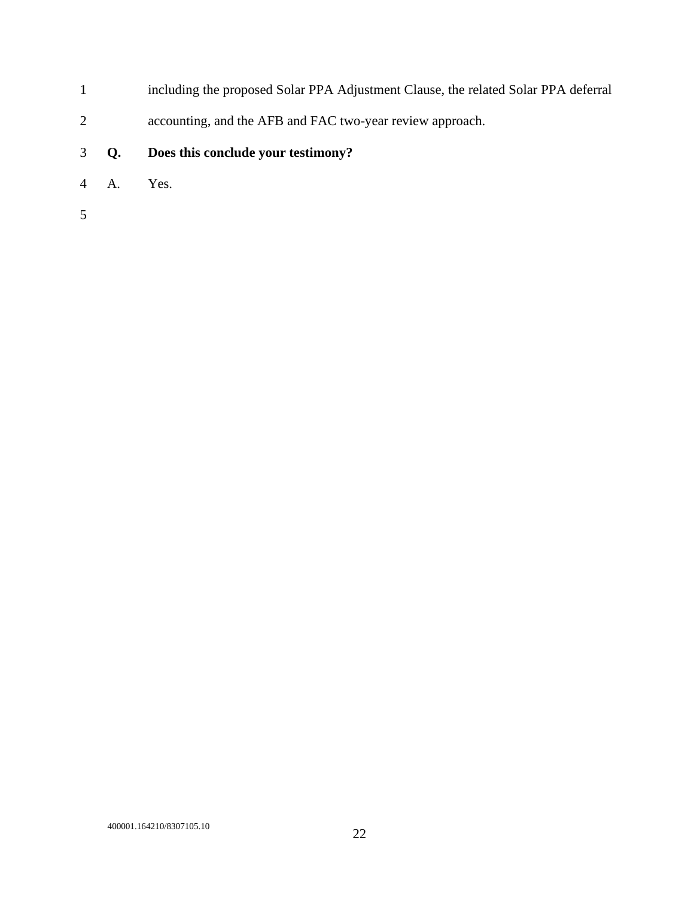- 1 including the proposed Solar PPA Adjustment Clause, the related Solar PPA deferral
- 2 accounting, and the AFB and FAC two-year review approach.
- 3 **Q. Does this conclude your testimony?**
- 4 A. Yes.
- 5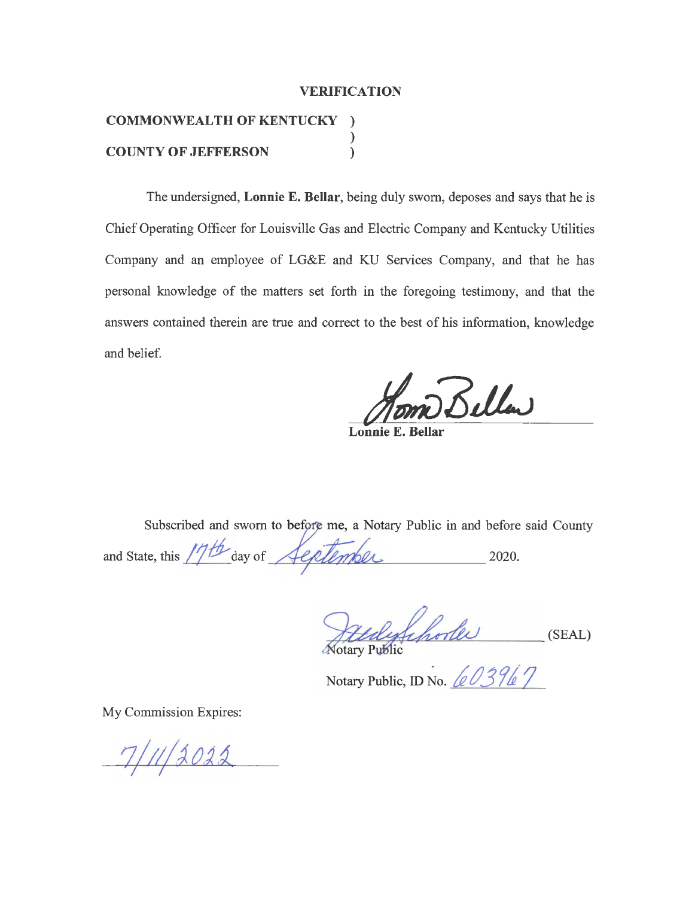#### **VERIFICATION**

# **COMMONWEALTH OF KENTUCKY** ) )<br>) **COUNTY OF JEFFERSON** )

The undersigned, **Lonnie E. Bellar,** being duly sworn, deposes and says that he is Chief Operating Officer for Louisville Gas and Electric Company and Kentucky Utilities Company and an employee of LG&E and KU Services Company, and that he has personal knowledge of the matters set forth in the foregoing testimony, and that the answers contained therein are true and correct to the best of his information, knowledge and belief.

Beller

**Lonnie E. Bellar** 

Subscribed and sworn to before me, a Notary Public in and before said County

and State, this  $17/6$  day of  $\sqrt{\frac{c \rho}{l \rho \rho}}$  2020.

 $\mathcal{A}\mathcal{L}\mathcal{A}\mathcal{L}$ Hudyfihodes (SI .,....,,,\_, *fl-+'-"~* ~~ \_\_\_\_ (SEAL)

Notary Public, ID No. <u>60396</u>7

My Commission Expires:

 $7/11/2022$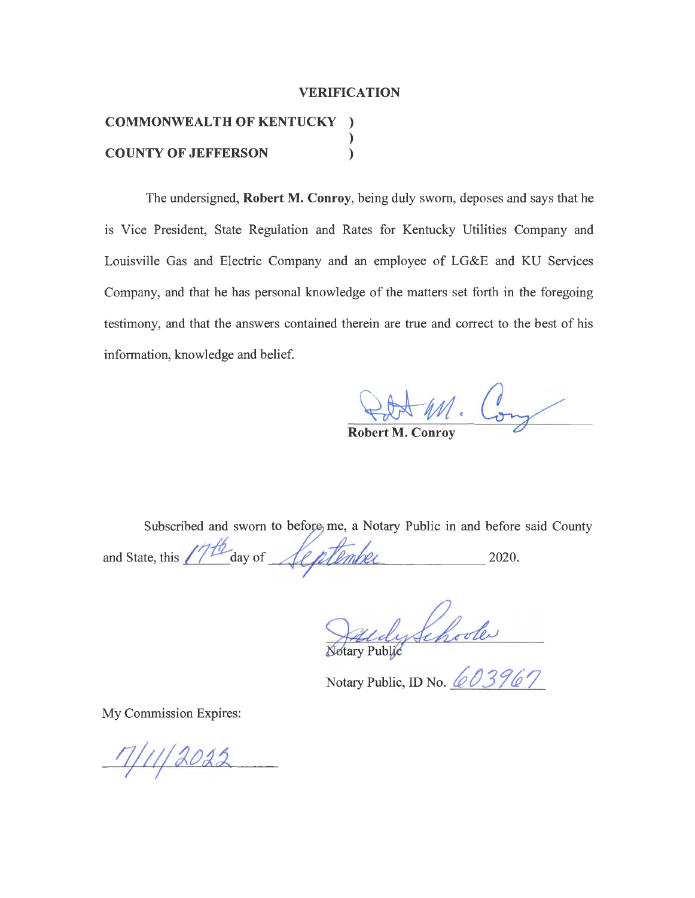#### **VERIFICATION**

# **COMMONWEAL TH OF KENTUCKY** ) )<br>) **COUNTY OF JEFFERSON** )

The undersigned, **Robert M. Conroy,** being duly sworn, deposes and says that he 1s Vice President, State Regulation and Rates for Kentucky Utilities Company and Louisville Gas and Electric Company and an employee of LG&E and KU Services Company, and that he has personal knowledge of the matters set forth in the foregoing testimony, and that the answers contained therein are true and correct to the best of his information, knowledge and belief.

Robert M. Cony

Subscribed and sworn to before me, a Notary Public in and before said County<br>te, this  $\sqrt{7f\omega}$  day of  $\sqrt{f\omega}$   $\sqrt{f\omega}$  2020. and State, this  $\ell^{\prime}/\ell^{\prime}$  day of *September* 

dy Schoole

Notary Public, ID No.  $603967$ 

My Commission Expires:

 $7/11/2022$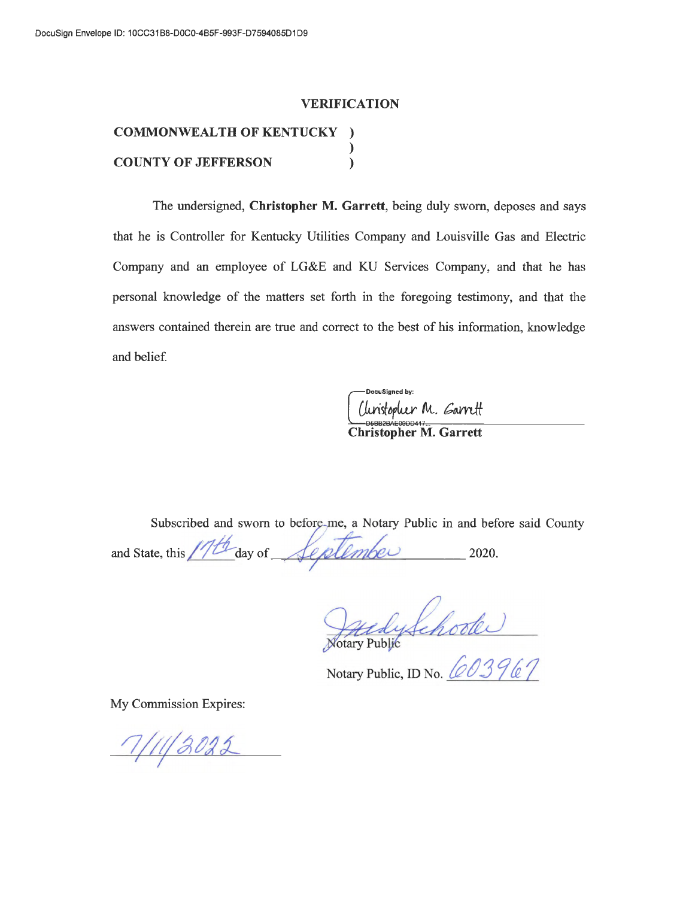#### **VERIFICATION**

## **COMMONWEALTH OF KENTUCKY** ) )<br>) **COUNTY OF JEFFERSON** )

The undersigned, **Christopher M. Garrett,** being duly sworn, deposes and says that he is Controller for Kentucky Utilities Company and Louisville Gas and Electric Company and an employee of LG&E and KU Services Company, and that he has personal knowledge of the matters set forth in the foregoing testimony, and that the answers contained therein are true and correct to the best of his information, know ledge and belief.

DocuSigned by  $\begin{array}{c}\n\bigcup_{\text{DSEB2BAC00DD417}\n\text{Christopher M. Garrett}\n\end{array}$ 

Subscribed and sworn to before-me, a Notary Public in and before said County

and State, this  $11/14$  day of  $\sqrt{c}$ ,  $\sqrt{c}$ ,  $\sqrt{c}$ ,  $\sqrt{c}$ ,  $\sqrt{c}$ ,  $\sqrt{c}$ ,  $\sqrt{c}$ ,  $\sqrt{c}$ ,  $\sqrt{c}$ ,  $\sqrt{c}$ ,  $\sqrt{c}$ ,  $\sqrt{c}$ ,  $\sqrt{c}$ ,  $\sqrt{c}$ ,  $\sqrt{c}$ ,  $\sqrt{c}$ ,  $\sqrt{c}$ ,  $\sqrt{c}$ ,  $\sqrt{c}$ ,  $\sqrt{c}$ ,  $\sqrt{c}$ ,

Hady Schoole<br>Notary Public, ID No. <u>60396</u>7

My Commission Expires:

 $7/11/3022$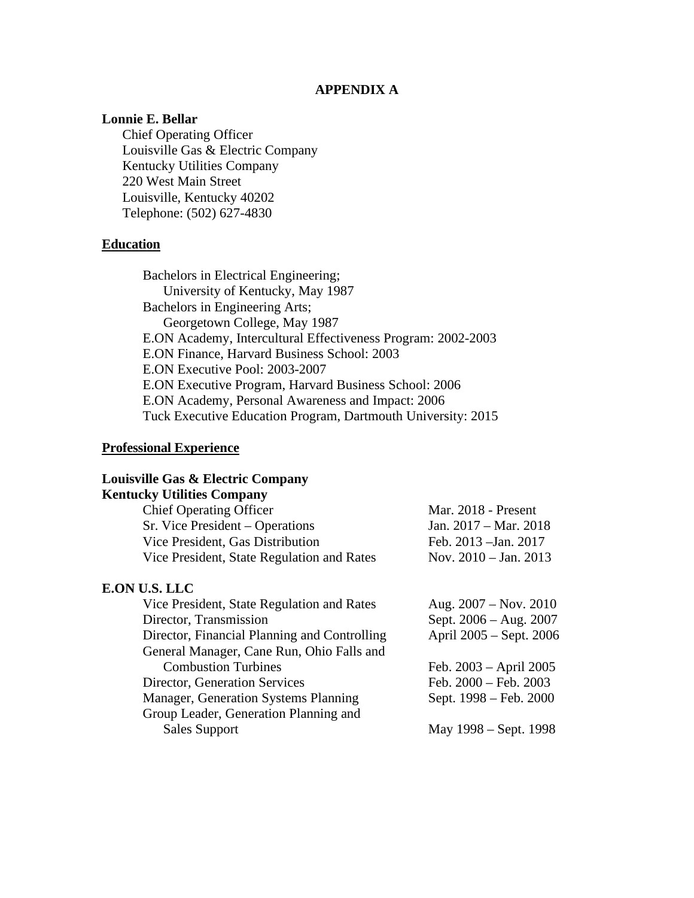# **APPENDIX A**

# **Lonnie E. Bellar**

 Chief Operating Officer Louisville Gas & Electric Company Kentucky Utilities Company 220 West Main Street Louisville, Kentucky 40202 Telephone: (502) 627-4830

# **Education**

Bachelors in Electrical Engineering; University of Kentucky, May 1987 Bachelors in Engineering Arts; Georgetown College, May 1987 E.ON Academy, Intercultural Effectiveness Program: 2002-2003 E.ON Finance, Harvard Business School: 2003 E.ON Executive Pool: 2003-2007 E.ON Executive Program, Harvard Business School: 2006 E.ON Academy, Personal Awareness and Impact: 2006 Tuck Executive Education Program, Dartmouth University: 2015

#### **Professional Experience**

## **Louisville Gas & Electric Company**

# **Kentucky Utilities Company**

| <b>Chief Operating Officer</b>             | Mar. 2018 - Present             |
|--------------------------------------------|---------------------------------|
| Sr. Vice President – Operations            | Jan. $2017 - \text{Mar. } 2018$ |
| Vice President, Gas Distribution           | Feb. 2013 - Jan. 2017           |
| Vice President, State Regulation and Rates | Nov. $2010 - \text{Jan. } 2013$ |
|                                            |                                 |

#### **E.ON U.S. LLC**

| Vice President, State Regulation and Rates   | Aug. $2007 - Nov. 2010$  |  |  |  |
|----------------------------------------------|--------------------------|--|--|--|
| Director, Transmission                       | Sept. 2006 - Aug. 2007   |  |  |  |
| Director, Financial Planning and Controlling | April 2005 – Sept. 2006  |  |  |  |
| General Manager, Cane Run, Ohio Falls and    |                          |  |  |  |
| <b>Combustion Turbines</b>                   | Feb. $2003 - April 2005$ |  |  |  |
| Director, Generation Services                | Feb. 2000 - Feb. 2003    |  |  |  |
| Manager, Generation Systems Planning         | Sept. 1998 – Feb. 2000   |  |  |  |
| Group Leader, Generation Planning and        |                          |  |  |  |
| <b>Sales Support</b>                         | May 1998 – Sept. 1998    |  |  |  |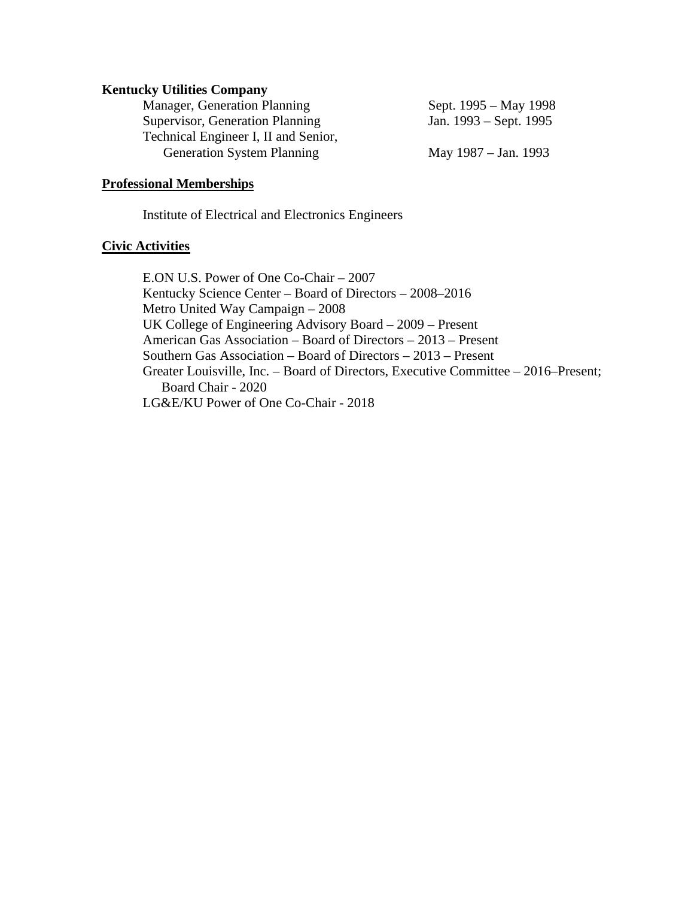#### **Kentucky Utilities Company**

| Sept. 1995 – May 1998  |
|------------------------|
| Jan. 1993 – Sept. 1995 |
|                        |
| May $1987 - Jan. 1993$ |
|                        |

#### **Professional Memberships**

Institute of Electrical and Electronics Engineers

#### **Civic Activities**

E.ON U.S. Power of One Co-Chair – 2007 Kentucky Science Center – Board of Directors – 2008–2016 Metro United Way Campaign – 2008 UK College of Engineering Advisory Board – 2009 – Present American Gas Association – Board of Directors – 2013 – Present Southern Gas Association – Board of Directors – 2013 – Present Greater Louisville, Inc. – Board of Directors, Executive Committee – 2016–Present; Board Chair - 2020 LG&E/KU Power of One Co-Chair - 2018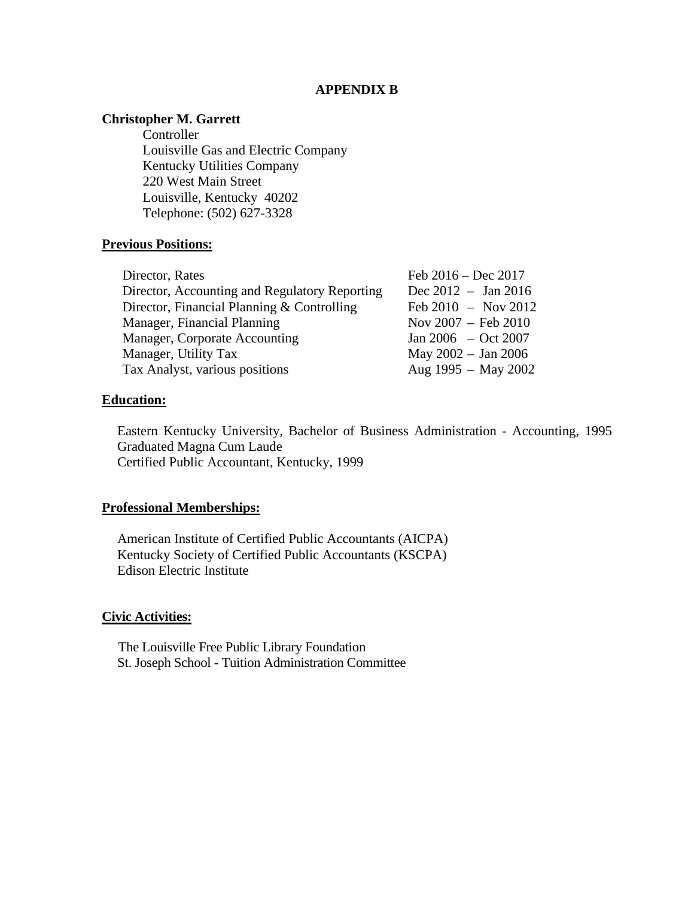#### **APPENDIX B**

# **Christopher M. Garrett**

Controller Louisville Gas and Electric Company Kentucky Utilities Company 220 West Main Street Louisville, Kentucky 40202 Telephone: (502) 627-3328

## **Previous Positions:**

| Director, Rates                               | Feb $2016 - Dec 2017$         |
|-----------------------------------------------|-------------------------------|
| Director, Accounting and Regulatory Reporting | Dec $2012 - Jan 2016$         |
| Director, Financial Planning & Controlling    | Feb $2010 - Nov 2012$         |
| Manager, Financial Planning                   | Nov $2007 - \text{Feb } 2010$ |
| Manager, Corporate Accounting                 | Jan 2006 $-$ Oct 2007         |
| Manager, Utility Tax                          | May 2002 - Jan 2006           |
| Tax Analyst, various positions                | Aug 1995 - May 2002           |
|                                               |                               |

## **Education:**

Eastern Kentucky University, Bachelor of Business Administration - Accounting, 1995 Graduated Magna Cum Laude Certified Public Accountant, Kentucky, 1999

## **Professional Memberships:**

American Institute of Certified Public Accountants (AICPA) Kentucky Society of Certified Public Accountants (KSCPA) Edison Electric Institute

#### **Civic Activities:**

 The Louisville Free Public Library Foundation St. Joseph School - Tuition Administration Committee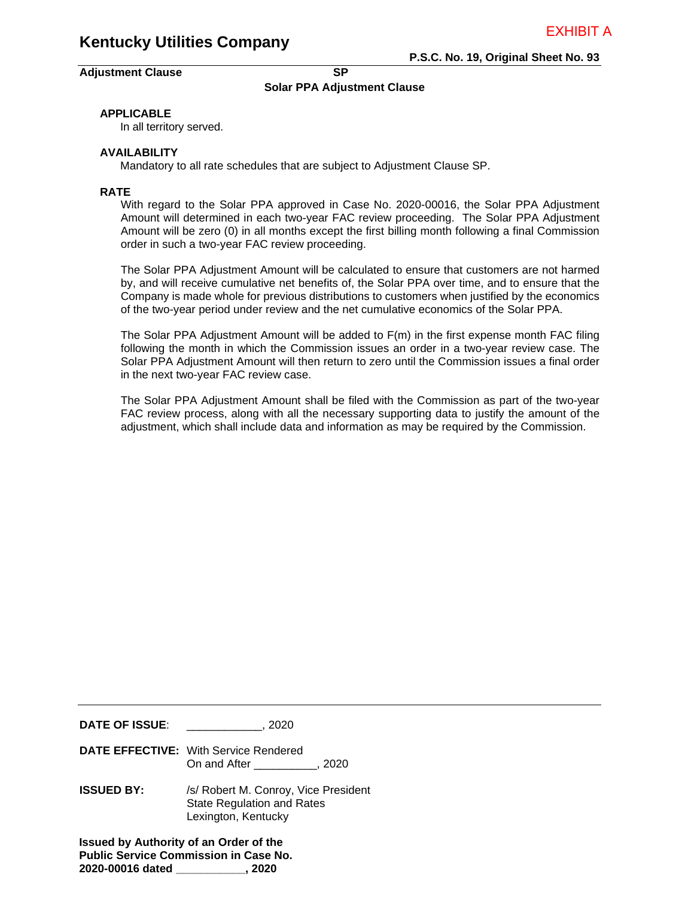#### Adjustment Clause **SP SP**

**P.S.C. No. 19, Original Sheet No. 93** 

#### **Solar PPA Adjustment Clause**

#### **APPLICABLE**

In all territory served.

#### **AVAILABILITY**

Mandatory to all rate schedules that are subject to Adjustment Clause SP.

#### **RATE**

With regard to the Solar PPA approved in Case No. 2020-00016, the Solar PPA Adjustment Amount will determined in each two-year FAC review proceeding. The Solar PPA Adjustment Amount will be zero (0) in all months except the first billing month following a final Commission order in such a two-year FAC review proceeding.

The Solar PPA Adjustment Amount will be calculated to ensure that customers are not harmed by, and will receive cumulative net benefits of, the Solar PPA over time, and to ensure that the Company is made whole for previous distributions to customers when justified by the economics of the two-year period under review and the net cumulative economics of the Solar PPA.

The Solar PPA Adjustment Amount will be added to F(m) in the first expense month FAC filing following the month in which the Commission issues an order in a two-year review case. The Solar PPA Adjustment Amount will then return to zero until the Commission issues a final order in the next two-year FAC review case.

The Solar PPA Adjustment Amount shall be filed with the Commission as part of the two-year FAC review process, along with all the necessary supporting data to justify the amount of the adjustment, which shall include data and information as may be required by the Commission.

| <b>DATE OF ISSUE:</b>                                                                         | .2020                                                                                            |  |  |  |
|-----------------------------------------------------------------------------------------------|--------------------------------------------------------------------------------------------------|--|--|--|
|                                                                                               | <b>DATE EFFECTIVE:</b> With Service Rendered<br>On and After ___________, 2020                   |  |  |  |
| <b>ISSUED BY:</b>                                                                             | /s/ Robert M. Conroy, Vice President<br><b>State Regulation and Rates</b><br>Lexington, Kentucky |  |  |  |
| <b>Issued by Authority of an Order of the</b><br><b>Public Service Commission in Case No.</b> |                                                                                                  |  |  |  |

**2020-00016 dated \_\_\_\_\_\_\_\_\_\_\_, 2020**